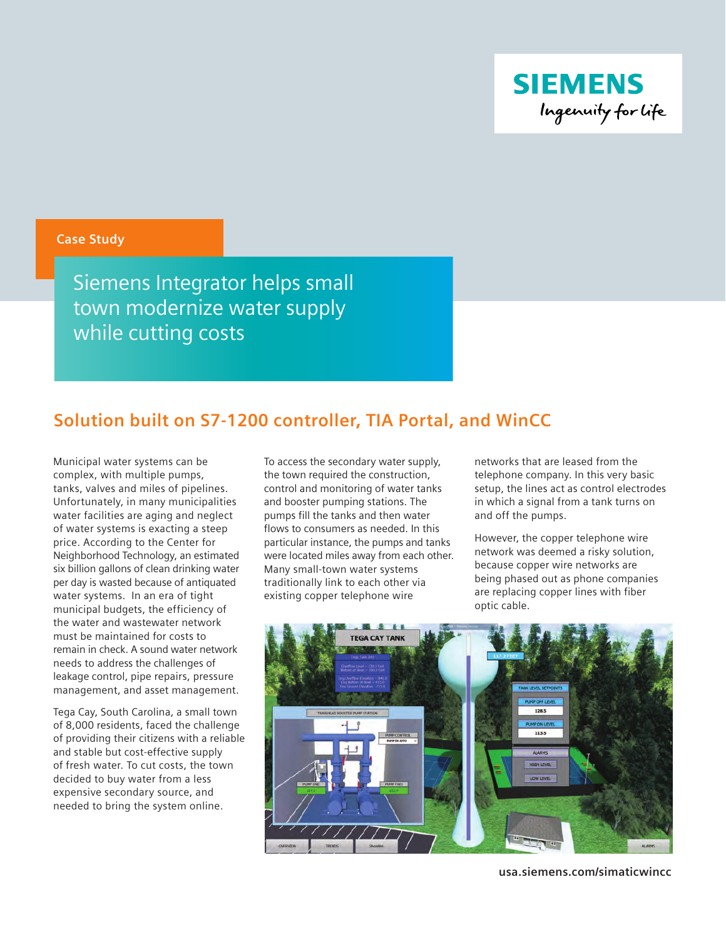

# **Case Study**

Siemens Integrator helps small town modernize water supply while cutting costs

# **Solution built on S7-1200 controller, TIA Portal, and WinCC**

Municipal water systems can be complex, with multiple pumps, tanks, valves and miles of pipelines. Unfortunately, in many municipalities water facilities are aging and neglect of water systems is exacting a steep price. According to the Center for Neighborhood Technology, an estimated six billion gallons of clean drinking water per day is wasted because of antiquated water systems. In an era of tight municipal budgets, the efficiency of the water and wastewater network must be maintained for costs to remain in check. A sound water network needs to address the challenges of leakage control, pipe repairs, pressure management, and asset management.

Tega Cay, South Carolina, a small town of 8,000 residents, faced the challenge of providing their citizens with a reliable and stable but cost-effective supply of fresh water. To cut costs, the town decided to buy water from a less expensive secondary source, and needed to bring the system online.

To access the secondary water supply, the town required the construction, control and monitoring of water tanks and booster pumping stations. The pumps fill the tanks and then water flows to consumers as needed. In this particular instance, the pumps and tanks were located miles away from each other. Many small-town water systems traditionally link to each other via existing copper telephone wire

networks that are leased from the telephone company. In this very basic setup, the lines act as control electrodes in which a signal from a tank turns on and off the pumps.

However, the copper telephone wire network was deemed a risky solution, because copper wire networks are being phased out as phone companies are replacing copper lines with fiber optic cable.



**usa.siemens.com/simaticwincc**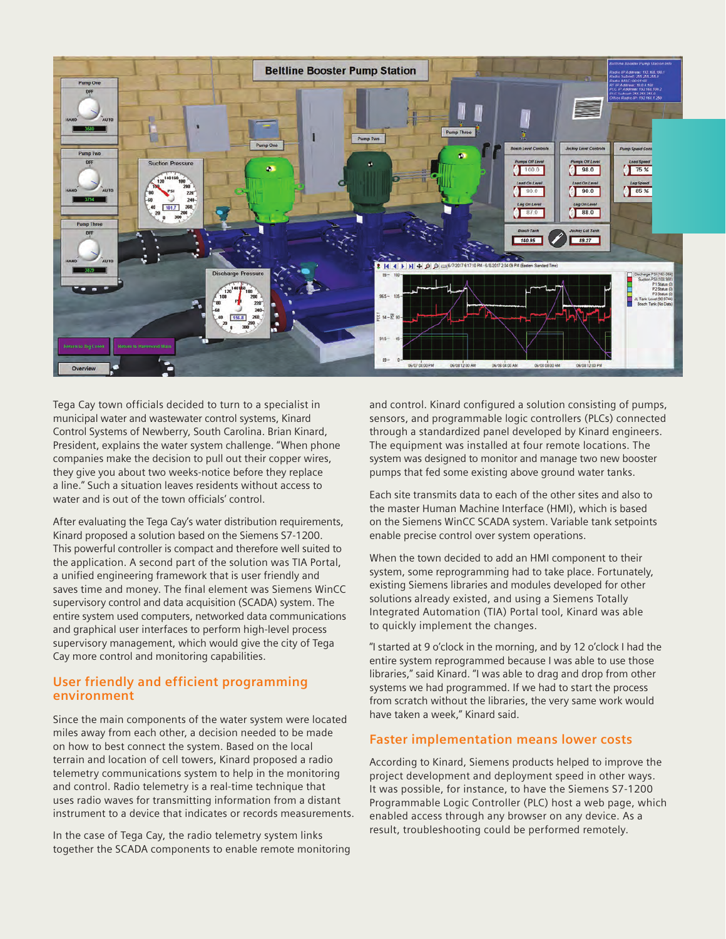

Tega Cay town officials decided to turn to a specialist in municipal water and wastewater control systems, Kinard Control Systems of Newberry, South Carolina. Brian Kinard, President, explains the water system challenge. "When phone companies make the decision to pull out their copper wires, they give you about two weeks-notice before they replace a line." Such a situation leaves residents without access to water and is out of the town officials' control.

After evaluating the Tega Cay's water distribution requirements, Kinard proposed a solution based on the Siemens S7-1200. This powerful controller is compact and therefore well suited to the application. A second part of the solution was TIA Portal, a unified engineering framework that is user friendly and saves time and money. The final element was Siemens WinCC supervisory control and data acquisition (SCADA) system. The entire system used computers, networked data communications and graphical user interfaces to perform high-level process supervisory management, which would give the city of Tega Cay more control and monitoring capabilities.

## **User friendly and efficient programming environment**

Since the main components of the water system were located miles away from each other, a decision needed to be made on how to best connect the system. Based on the local terrain and location of cell towers, Kinard proposed a radio telemetry communications system to help in the monitoring and control. Radio telemetry is a real-time technique that uses radio waves for transmitting information from a distant instrument to a device that indicates or records measurements.

In the case of Tega Cay, the radio telemetry system links together the SCADA components to enable remote monitoring and control. Kinard configured a solution consisting of pumps, sensors, and programmable logic controllers (PLCs) connected through a standardized panel developed by Kinard engineers. The equipment was installed at four remote locations. The system was designed to monitor and manage two new booster pumps that fed some existing above ground water tanks.

Each site transmits data to each of the other sites and also to the master Human Machine Interface (HMI), which is based on the Siemens WinCC SCADA system. Variable tank setpoints enable precise control over system operations.

When the town decided to add an HMI component to their system, some reprogramming had to take place. Fortunately, existing Siemens libraries and modules developed for other solutions already existed, and using a Siemens Totally Integrated Automation (TIA) Portal tool, Kinard was able to quickly implement the changes.

"I started at 9 o'clock in the morning, and by 12 o'clock I had the entire system reprogrammed because I was able to use those libraries," said Kinard. "I was able to drag and drop from other systems we had programmed. If we had to start the process from scratch without the libraries, the very same work would have taken a week," Kinard said.

### **Faster implementation means lower costs**

According to Kinard, Siemens products helped to improve the project development and deployment speed in other ways. It was possible, for instance, to have the Siemens S7-1200 Programmable Logic Controller (PLC) host a web page, which enabled access through any browser on any device. As a result, troubleshooting could be performed remotely.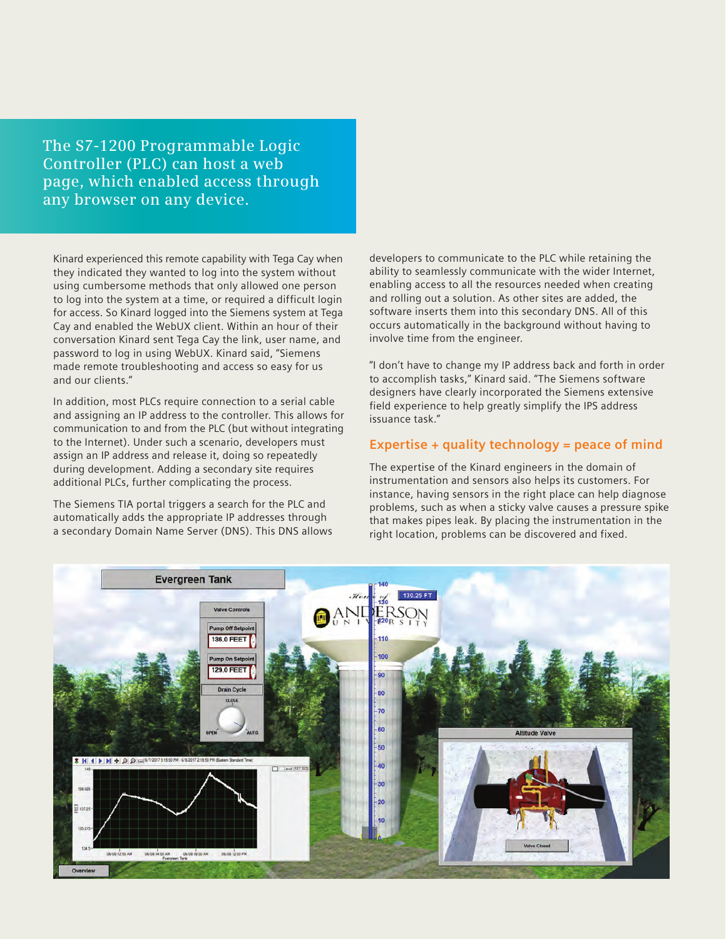**The S7-1200 Programmable Logic Controller (PLC) can host a web page, which enabled access through any browser on any device.**

Kinard experienced this remote capability with Tega Cay when they indicated they wanted to log into the system without using cumbersome methods that only allowed one person to log into the system at a time, or required a difficult login for access. So Kinard logged into the Siemens system at Tega Cay and enabled the WebUX client. Within an hour of their conversation Kinard sent Tega Cay the link, user name, and password to log in using WebUX. Kinard said, "Siemens made remote troubleshooting and access so easy for us and our clients."

In addition, most PLCs require connection to a serial cable and assigning an IP address to the controller. This allows for communication to and from the PLC (but without integrating to the Internet). Under such a scenario, developers must assign an IP address and release it, doing so repeatedly during development. Adding a secondary site requires additional PLCs, further complicating the process.

The Siemens TIA portal triggers a search for the PLC and automatically adds the appropriate IP addresses through a secondary Domain Name Server (DNS). This DNS allows developers to communicate to the PLC while retaining the ability to seamlessly communicate with the wider Internet, enabling access to all the resources needed when creating and rolling out a solution. As other sites are added, the software inserts them into this secondary DNS. All of this occurs automatically in the background without having to involve time from the engineer.

"I don't have to change my IP address back and forth in order to accomplish tasks," Kinard said. "The Siemens software designers have clearly incorporated the Siemens extensive field experience to help greatly simplify the IPS address issuance task."

# **Expertise + quality technology = peace of mind**

The expertise of the Kinard engineers in the domain of instrumentation and sensors also helps its customers. For instance, having sensors in the right place can help diagnose problems, such as when a sticky valve causes a pressure spike that makes pipes leak. By placing the instrumentation in the right location, problems can be discovered and fixed.